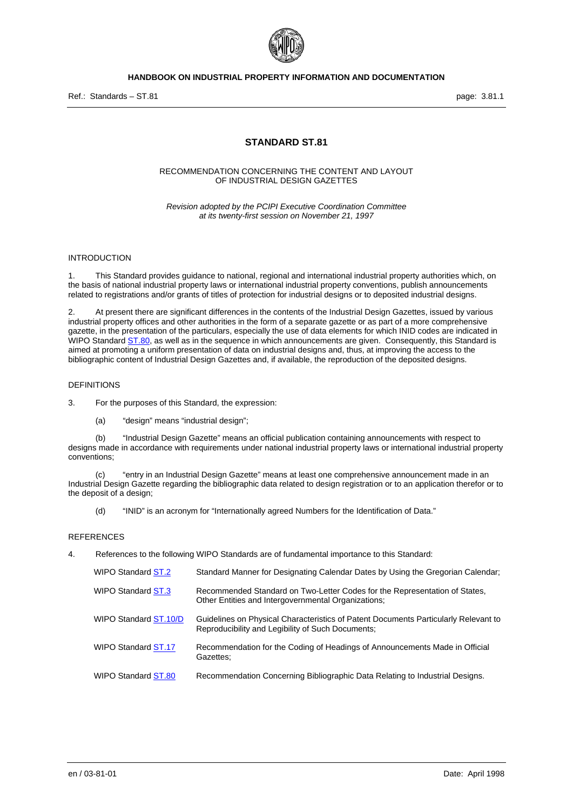

# **HANDBOOK ON INDUSTRIAL PROPERTY INFORMATION AND DOCUMENTATION**

Ref.: Standards – ST.81 page: 3.81.1

# **STANDARD ST.81**

### RECOMMENDATION CONCERNING THE CONTENT AND LAYOUT OF INDUSTRIAL DESIGN GAZETTES

*Revision adopted by the PCIPI Executive Coordination Committee at its twenty-first session on November 21, 1997* 

### **INTRODUCTION**

1. This Standard provides guidance to national, regional and international industrial property authorities which, on the basis of national industrial property laws or international industrial property conventions, publish announcements related to registrations and/or grants of titles of protection for industrial designs or to deposited industrial designs.

2. At present there are significant differences in the contents of the Industrial Design Gazettes, issued by various industrial property offices and other authorities in the form of a separate gazette or as part of a more comprehensive gazette, in the presentation of the particulars, especially the use of data elements for which INID codes are indicated in WIPO Standard ST.80, as well as in the sequence in which announcements are given. Consequently, this Standard is aimed at promoting a uniform presentation of data on industrial designs and, thus, at improving the access to the bibliographic content of Industrial Design Gazettes and, if available, the reproduction of the deposited designs.

### DEFINITIONS

3. For the purposes of this Standard, the expression:

(a) "design" means "industrial design";

(b) "Industrial Design Gazette" means an official publication containing announcements with respect to designs made in accordance with requirements under national industrial property laws or international industrial property conventions;

(c) "entry in an Industrial Design Gazette" means at least one comprehensive announcement made in an Industrial Design Gazette regarding the bibliographic data related to design registration or to an application therefor or to the deposit of a design;

(d) "INID" is an acronym for "Internationally agreed Numbers for the Identification of Data."

## **REFERENCES**

4. References to the following WIPO Standards are of fundamental importance to this Standard:

| WIPO Standard ST.2    | Standard Manner for Designating Calendar Dates by Using the Gregorian Calendar;                                                          |
|-----------------------|------------------------------------------------------------------------------------------------------------------------------------------|
| WIPO Standard ST.3    | Recommended Standard on Two-Letter Codes for the Representation of States,<br>Other Entities and Intergovernmental Organizations;        |
| WIPO Standard ST.10/D | Guidelines on Physical Characteristics of Patent Documents Particularly Relevant to<br>Reproducibility and Legibility of Such Documents; |
| WIPO Standard ST.17   | Recommendation for the Coding of Headings of Announcements Made in Official<br>Gazettes:                                                 |
| WIPO Standard ST.80   | Recommendation Concerning Bibliographic Data Relating to Industrial Designs.                                                             |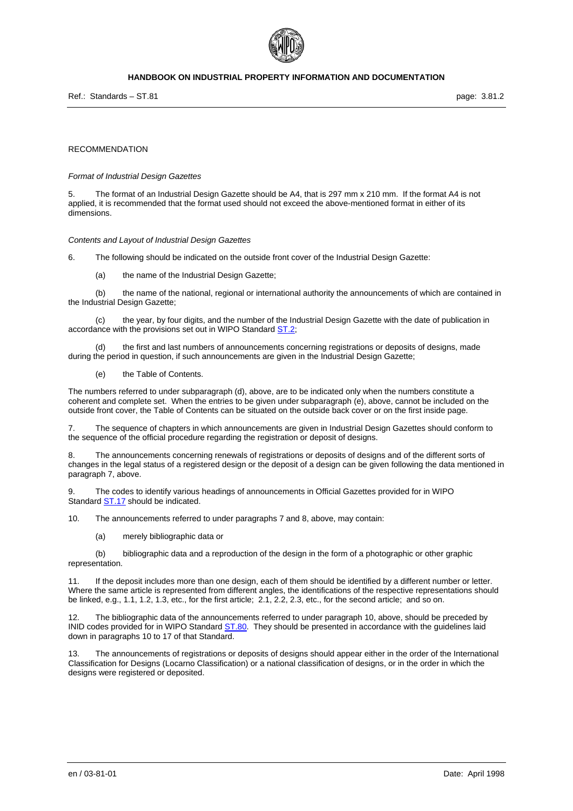

## **HANDBOOK ON INDUSTRIAL PROPERTY INFORMATION AND DOCUMENTATION**

Ref.: Standards – ST.81 page: 3.81.2

#### RECOMMENDATION

#### *Format of Industrial Design Gazettes*

The format of an Industrial Design Gazette should be A4, that is 297 mm x 210 mm. If the format A4 is not applied, it is recommended that the format used should not exceed the above-mentioned format in either of its dimensions.

#### *Contents and Layout of Industrial Design Gazettes*

6. The following should be indicated on the outside front cover of the Industrial Design Gazette:

(a) the name of the Industrial Design Gazette;

(b) the name of the national, regional or international authority the announcements of which are contained in the Industrial Design Gazette;

(c) the year, by four digits, and the number of the Industrial Design Gazette with the date of publication in accordance with the provisions set out in WIPO Standard ST.2;

(d) the first and last numbers of announcements concerning registrations or deposits of designs, made during the period in question, if such announcements are given in the Industrial Design Gazette;

(e) the Table of Contents.

The numbers referred to under subparagraph (d), above, are to be indicated only when the numbers constitute a coherent and complete set. When the entries to be given under subparagraph (e), above, cannot be included on the outside front cover, the Table of Contents can be situated on the outside back cover or on the first inside page.

7. The sequence of chapters in which announcements are given in Industrial Design Gazettes should conform to the sequence of the official procedure regarding the registration or deposit of designs.

8. The announcements concerning renewals of registrations or deposits of designs and of the different sorts of changes in the legal status of a registered design or the deposit of a design can be given following the data mentioned in paragraph 7, above.

9. The codes to identify various headings of announcements in Official Gazettes provided for in WIPO Standard ST.17 should be indicated.

10. The announcements referred to under paragraphs 7 and 8, above, may contain:

(a) merely bibliographic data or

(b) bibliographic data and a reproduction of the design in the form of a photographic or other graphic representation.

If the deposit includes more than one design, each of them should be identified by a different number or letter. Where the same article is represented from different angles, the identifications of the respective representations should be linked, e.g., 1.1, 1.2, 1.3, etc., for the first article; 2.1, 2.2, 2.3, etc., for the second article; and so on.

12. The bibliographic data of the announcements referred to under paragraph 10, above, should be preceded by INID codes provided for in WIPO Standard ST.80. They should be presented in accordance with the guidelines laid down in paragraphs 10 to 17 of that Standard.

13. The announcements of registrations or deposits of designs should appear either in the order of the International Classification for Designs (Locarno Classification) or a national classification of designs, or in the order in which the designs were registered or deposited.